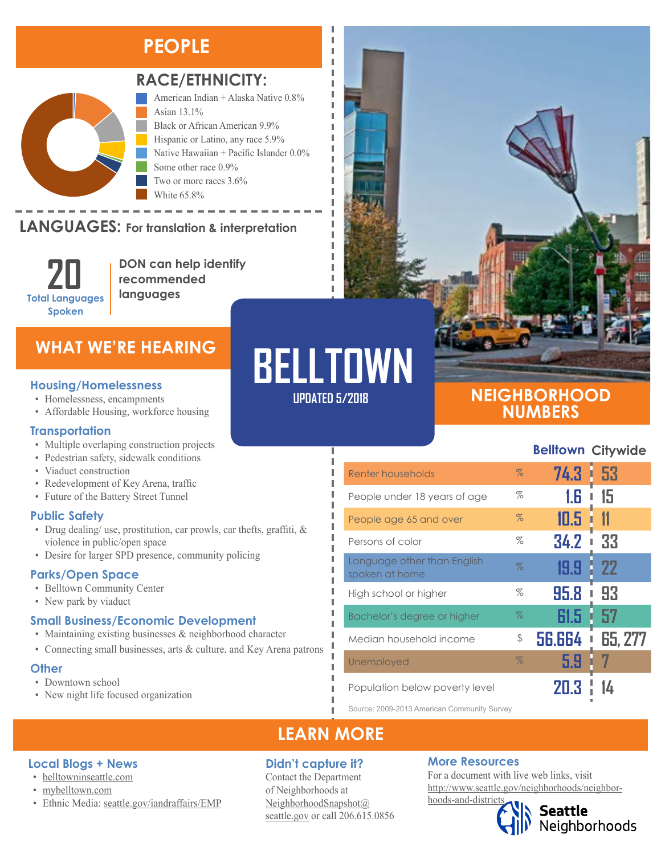### **PEOPLE**



#### RACE/ETHNICITY:

American Indian + Alaska Native 0.8% Asian 13.1% Black or African American 9.9% Hispanic or Latino, any race 5.9% Native Hawaiian + Pacific Islander 0.0% Some other race 0.9% Two or more races 3.6% White 65.8%

#### **LANGUAGES:** For translation & interpretation  $\sim$   $\sim$   $\sim$   $\sim$   $\sim$   $\sim$   $\sim$



**DON can help identify recommended languages**

### **WHAT WE'RE HEARING**

- Homelessness, encampments
- Affordable Housing, workforce housing

#### **Transportation**

- Multiple overlaping construction projects
- Pedestrian safety, sidewalk conditions
- Viaduct construction
- Redevelopment of Key Arena, traffic
- Future of the Battery Street Tunnel

#### **Public Safety**

- Drug dealing/ use, prostitution, car prowls, car thefts, graffiti, & violence in public/open space
- Desire for larger SPD presence, community policing

#### **Parks/Open Space**

- Belltown Community Center
- New park by viaduct
- **Small Business/Economic Development**
- Maintaining existing businesses & neighborhood character
- Connecting small businesses, arts & culture, and Key Arena patrons

#### **Other**

• Downtown school

**Local Blogs + News** • [belltowninseattle.com](http://belltowninseattle.com/) • [mybelltown.com](http://mybelltown.com/)

• New night life focused organization

• Ethnic Media: [seattle.gov/iandraffairs/EMP](http://www.seattle.gov/iandraffairs/EMP)

# **UPDATED 5/2018 Housing/Homelessness BELLTOWN**

л I I л I

п л I

Л Ī

### **NEIGHBORHOOD NUMBERS**

#### **Belltown Citywide**

| Renter households                             | $\%$ | 74.3          | 53        |
|-----------------------------------------------|------|---------------|-----------|
| People under 18 years of age                  | %    | 1.6           | 15<br>I   |
| People age 65 and over                        | $\%$ | 10.5          |           |
| Persons of color                              | %    | 34.2          | 33<br>I   |
| Language other than English<br>spoken at home | $\%$ | 19.91         | <b>22</b> |
| High school or higher                         | %    | 95.8          | 93<br>ı   |
| Bachelor's degree or higher                   | $\%$ | 61.5          | 57        |
| Median household income                       | \$   | <b>56.664</b> | 65, 277   |
| Unemployed                                    | $\%$ | 5.9           |           |
| Population below poverty level                |      |               |           |

Source: 2009-2013 American Community Survey

### **LEARN MORE**

#### **Didn't capture it?**

Contact the Department of Neighborhoods at [NeighborhoodSnapshot@](mailto:NeighborhoodSnapshot%40%0Aseattle.gov?subject=) [seattle.gov](mailto:NeighborhoodSnapshot%40%0Aseattle.gov?subject=) or call 206.615.0856

#### **More Resources**

For a document with live web links, visit [http://www.seattle.gov/neighborhoods/neighbor](http://www.seattle.gov/neighborhoods/neighborhoods-and-districts)[hoods-and-districts](http://www.seattle.gov/neighborhoods/neighborhoods-and-districts)